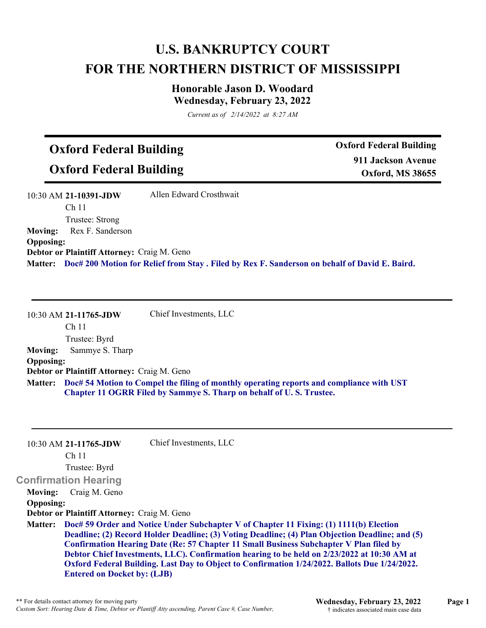## **U.S. BANKRUPTCY COURT FOR THE NORTHERN DISTRICT OF MISSISSIPPI**

## **Honorable Jason D. Woodard Wednesday, February 23, 2022**

*Current as of 2/14/2022 at 8:27 AM*

## **Oxford Federal Building**

**Oxford Federal Building**

**Oxford Federal Building 911 Jackson Avenue Oxford, MS 38655**

|                  | 10:30 AM 21-10391-JDW                              | Allen Edward Crosthwait                                                                              |
|------------------|----------------------------------------------------|------------------------------------------------------------------------------------------------------|
|                  | Ch 11                                              |                                                                                                      |
|                  | Trustee: Strong                                    |                                                                                                      |
|                  | <b>Moving:</b> Rex F. Sanderson                    |                                                                                                      |
| <b>Opposing:</b> |                                                    |                                                                                                      |
|                  | <b>Debtor or Plaintiff Attorney: Craig M. Geno</b> |                                                                                                      |
|                  |                                                    | Matter: Doc# 200 Motion for Relief from Stay. Filed by Rex F. Sanderson on behalf of David E. Baird. |

|                  | 10:30 AM 21-11765-JDW                              | Chief Investments, LLC                                                                                                                                          |
|------------------|----------------------------------------------------|-----------------------------------------------------------------------------------------------------------------------------------------------------------------|
|                  | Ch <sub>11</sub>                                   |                                                                                                                                                                 |
|                  | Trustee: Byrd                                      |                                                                                                                                                                 |
| <b>Moving:</b>   | Sammye S. Tharp                                    |                                                                                                                                                                 |
| <b>Opposing:</b> |                                                    |                                                                                                                                                                 |
|                  | <b>Debtor or Plaintiff Attorney: Craig M. Geno</b> |                                                                                                                                                                 |
| <b>Matter:</b>   |                                                    | Doc# 54 Motion to Compel the filing of monthly operating reports and compliance with UST<br>Chapter 11 OGRR Filed by Sammye S. Tharp on behalf of U.S. Trustee. |

|                  | 10:30 AM 21-11765-JDW                       | Chief Investments, LLC                                                                          |
|------------------|---------------------------------------------|-------------------------------------------------------------------------------------------------|
|                  | Ch <sub>11</sub>                            |                                                                                                 |
|                  | Trustee: Byrd                               |                                                                                                 |
|                  | <b>Confirmation Hearing</b>                 |                                                                                                 |
| Moving:          | Craig M. Geno                               |                                                                                                 |
| <b>Opposing:</b> |                                             |                                                                                                 |
|                  | Debtor or Plaintiff Attorney: Craig M. Geno |                                                                                                 |
| <b>Matter:</b>   |                                             | Doc# 59 Order and Notice Under Subchapter V of Chapter 11 Fixing: (1) 1111(b) Election          |
|                  |                                             | Deadline; (2) Record Holder Deadline; (3) Voting Deadline; (4) Plan Objection Deadline; and (5) |
|                  |                                             | <b>Confirmation Hearing Date (Re: 57 Chapter 11 Small Business Subchapter V Plan filed by</b>   |
|                  |                                             | Debtor Chief Investments, LLC). Confirmation hearing to be held on 2/23/2022 at 10:30 AM at     |
|                  |                                             | Oxford Federal Building. Last Day to Object to Confirmation 1/24/2022. Ballots Due 1/24/2022.   |
|                  | <b>Entered on Docket by: (LJB)</b>          |                                                                                                 |

\*\* For details contact attorney for moving party<br>
Custom Sort: Hearing Date & Time, Debtor or Plantiff Atty ascending, Parent Case #, Case Number,<br>
<sup>\*\*</sup> Tordicates associated main case data<br>
indicates associated main case *Custom Sort: Hearing Date & Time, Debtor or Plantiff Atty ascending, Parent Case #, Case Number,*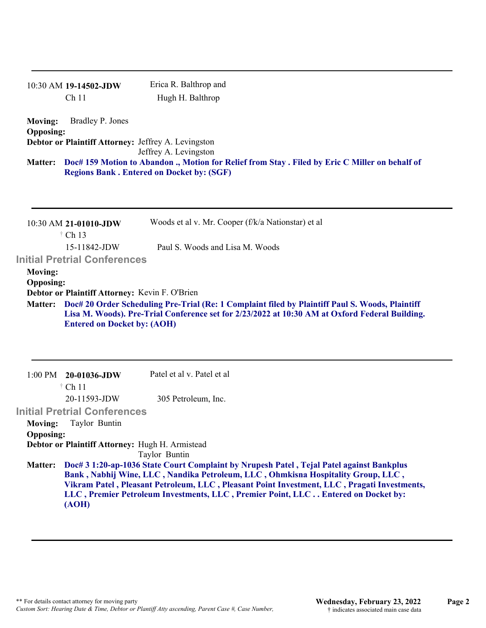|                                    | 10:30 AM 19-14502-JDW                               | Erica R. Balthrop and                                                                                                                                                                                                                                                |
|------------------------------------|-----------------------------------------------------|----------------------------------------------------------------------------------------------------------------------------------------------------------------------------------------------------------------------------------------------------------------------|
|                                    | Ch <sub>11</sub>                                    | Hugh H. Balthrop                                                                                                                                                                                                                                                     |
| <b>Moving:</b><br><b>Opposing:</b> | Bradley P. Jones                                    |                                                                                                                                                                                                                                                                      |
|                                    | Debtor or Plaintiff Attorney: Jeffrey A. Levingston |                                                                                                                                                                                                                                                                      |
|                                    |                                                     | Jeffrey A. Levingston                                                                                                                                                                                                                                                |
| <b>Matter:</b>                     |                                                     | Doc# 159 Motion to Abandon ., Motion for Relief from Stay . Filed by Eric C Miller on behalf of<br><b>Regions Bank. Entered on Docket by: (SGF)</b>                                                                                                                  |
|                                    | 10:30 AM 21-01010-JDW<br>$\dagger$ Ch 13            | Woods et al v. Mr. Cooper (f/k/a Nationstar) et al                                                                                                                                                                                                                   |
|                                    | 15-11842-JDW                                        | Paul S. Woods and Lisa M. Woods                                                                                                                                                                                                                                      |
|                                    | <b>Initial Pretrial Conferences</b>                 |                                                                                                                                                                                                                                                                      |
| <b>Moving:</b>                     |                                                     |                                                                                                                                                                                                                                                                      |
| <b>Opposing:</b>                   |                                                     |                                                                                                                                                                                                                                                                      |
| <b>Matter:</b>                     | Debtor or Plaintiff Attorney: Kevin F. O'Brien      | Doc# 20 Order Scheduling Pre-Trial (Re: 1 Complaint filed by Plaintiff Paul S. Woods, Plaintiff                                                                                                                                                                      |
|                                    | <b>Entered on Docket by: (AOH)</b>                  | Lisa M. Woods). Pre-Trial Conference set for 2/23/2022 at 10:30 AM at Oxford Federal Building.                                                                                                                                                                       |
|                                    |                                                     |                                                                                                                                                                                                                                                                      |
| $1:00$ PM                          | 20-01036-JDW<br>$\dagger$ Ch 11                     | Patel et al v. Patel et al                                                                                                                                                                                                                                           |
|                                    | 20-11593-JDW                                        | 305 Petroleum, Inc.                                                                                                                                                                                                                                                  |
|                                    | <b>Initial Pretrial Conferences</b>                 |                                                                                                                                                                                                                                                                      |
| <b>Moving:</b>                     | Taylor Buntin                                       |                                                                                                                                                                                                                                                                      |
| <b>Opposing:</b>                   |                                                     |                                                                                                                                                                                                                                                                      |
|                                    | Debtor or Plaintiff Attorney: Hugh H. Armistead     | Taylor Buntin                                                                                                                                                                                                                                                        |
| <b>Matter:</b>                     |                                                     | Doc# 3 1:20-ap-1036 State Court Complaint by Nrupesh Patel, Tejal Patel against Bankplus                                                                                                                                                                             |
|                                    |                                                     | Bank, Nabhij Wine, LLC, Nandika Petroleum, LLC, Ohmkisna Hospitality Group, LLC,<br>Vikram Patel, Pleasant Petroleum, LLC, Pleasant Point Investment, LLC, Pragati Investments,<br>LLC, Premier Petroleum Investments, LLC, Premier Point, LLC Entered on Docket by: |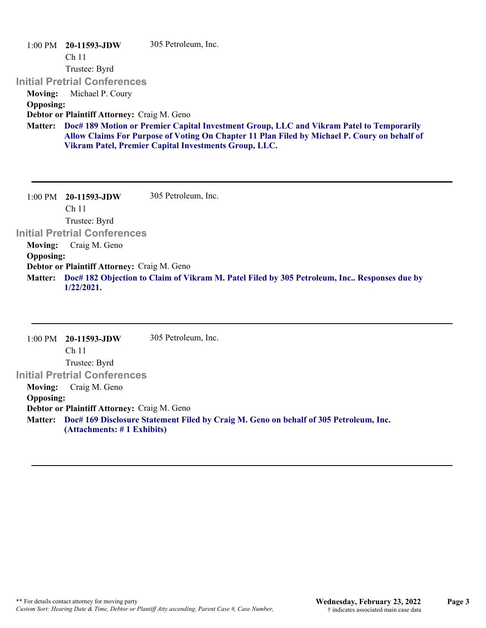1:00 PM **20-11593-JDW**  Ch 11 Trustee: Byrd **Initial Pretrial Conferences**  305 Petroleum, Inc. **Moving:** Michael P. Coury **Opposing: Debtor or Plaintiff Attorney:** Craig M. Geno **Doc# 189 Motion or Premier Capital Investment Group, LLC and Vikram Patel to Temporarily Matter: Allow Claims For Purpose of Voting On Chapter 11 Plan Filed by Michael P. Coury on behalf of Vikram Patel, Premier Capital Investments Group, LLC.**

1:00 PM **20-11593-JDW**  Ch 11 Trustee: Byrd **Initial Pretrial Conferences**  305 Petroleum, Inc. **Moving:** Craig M. Geno **Opposing: Debtor or Plaintiff Attorney:** Craig M. Geno **Doc# 182 Objection to Claim of Vikram M. Patel Filed by 305 Petroleum, Inc.. Responses due by Matter: 1/22/2021.**

1:00 PM **20-11593-JDW**  Ch 11 Trustee: Byrd **Initial Pretrial Conferences**  305 Petroleum, Inc. **Moving:** Craig M. Geno **Opposing: Debtor or Plaintiff Attorney:** Craig M. Geno **Doc# 169 Disclosure Statement Filed by Craig M. Geno on behalf of 305 Petroleum, Inc. Matter: (Attachments: # 1 Exhibits)**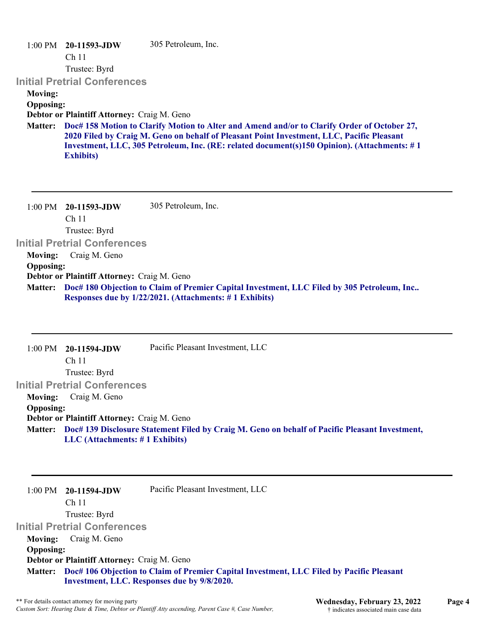|                  | $1:00 \text{ PM}$ 20-11593-JDW              | 305 Petroleum, Inc.                                                                                                                                                                                                                                                                     |
|------------------|---------------------------------------------|-----------------------------------------------------------------------------------------------------------------------------------------------------------------------------------------------------------------------------------------------------------------------------------------|
|                  | Ch <sub>11</sub>                            |                                                                                                                                                                                                                                                                                         |
|                  | Trustee: Byrd                               |                                                                                                                                                                                                                                                                                         |
|                  | <b>Initial Pretrial Conferences</b>         |                                                                                                                                                                                                                                                                                         |
| <b>Moving:</b>   |                                             |                                                                                                                                                                                                                                                                                         |
| <b>Opposing:</b> |                                             |                                                                                                                                                                                                                                                                                         |
|                  | Debtor or Plaintiff Attorney: Craig M. Geno |                                                                                                                                                                                                                                                                                         |
| <b>Matter:</b>   | <b>Exhibits</b> )                           | Doc# 158 Motion to Clarify Motion to Alter and Amend and/or to Clarify Order of October 27,<br>2020 Filed by Craig M. Geno on behalf of Pleasant Point Investment, LLC, Pacific Pleasant<br>Investment, LLC, 305 Petroleum, Inc. (RE: related document(s)150 Opinion). (Attachments: #1 |
| $1:00$ PM        | 20-11593-JDW<br>Ch <sub>11</sub>            | 305 Petroleum, Inc.                                                                                                                                                                                                                                                                     |
|                  | Trustee: Byrd                               |                                                                                                                                                                                                                                                                                         |

**Initial Pretrial Conferences** 

**Moving:** Craig M. Geno

## **Opposing:**

**Debtor or Plaintiff Attorney:** Craig M. Geno

**Doc# 180 Objection to Claim of Premier Capital Investment, LLC Filed by 305 Petroleum, Inc.. Matter: Responses due by 1/22/2021. (Attachments: # 1 Exhibits)**

|                  | $1:00 \text{ PM}$ 20-11594-JDW              | Pacific Pleasant Investment, LLC                                                                       |
|------------------|---------------------------------------------|--------------------------------------------------------------------------------------------------------|
|                  | Ch <sub>11</sub>                            |                                                                                                        |
|                  | Trustee: Byrd                               |                                                                                                        |
|                  | <b>Initial Pretrial Conferences</b>         |                                                                                                        |
| <b>Moving:</b>   | Craig M. Geno                               |                                                                                                        |
| <b>Opposing:</b> |                                             |                                                                                                        |
|                  | Debtor or Plaintiff Attorney: Craig M. Geno |                                                                                                        |
|                  |                                             | Matter: Doc# 139 Disclosure Statement Filed by Craig M. Geno on behalf of Pacific Pleasant Investment, |
|                  | $LLC$ (Attachments: $\#$ 1 Exhibits)        |                                                                                                        |

| $1:00 \text{ PM}$ 20-11594-JDW              | Pacific Pleasant Investment, LLC |  |
|---------------------------------------------|----------------------------------|--|
| Ch <sub>11</sub>                            |                                  |  |
| Trustee: Byrd                               |                                  |  |
| <b>Initial Pretrial Conferences</b>         |                                  |  |
| <b>Moving:</b> Craig M. Geno                |                                  |  |
| <b>Opposing:</b>                            |                                  |  |
| Debtor or Plaintiff Attorney: Craig M. Geno |                                  |  |

**Doc# 106 Objection to Claim of Premier Capital Investment, LLC Filed by Pacific Pleasant Matter: Investment, LLC. Responses due by 9/8/2020.**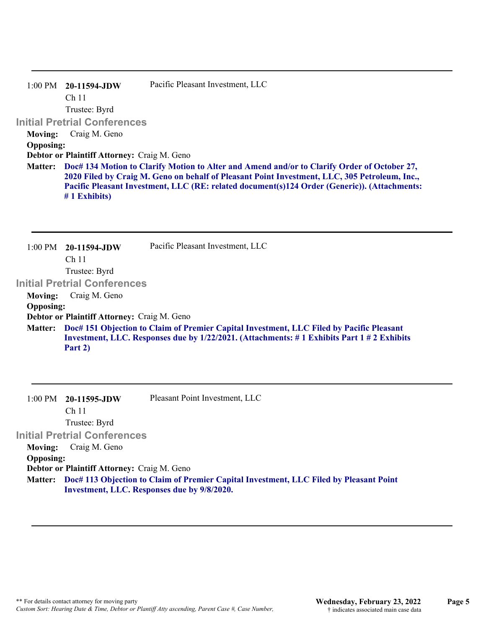|                  | $1:00 \text{ PM}$ 20-11594-JDW                                                                                                                                                                                                                                                                                  | Pacific Pleasant Investment, LLC |
|------------------|-----------------------------------------------------------------------------------------------------------------------------------------------------------------------------------------------------------------------------------------------------------------------------------------------------------------|----------------------------------|
|                  | Ch <sub>11</sub>                                                                                                                                                                                                                                                                                                |                                  |
|                  | Trustee: Byrd                                                                                                                                                                                                                                                                                                   |                                  |
|                  | <b>Initial Pretrial Conferences</b>                                                                                                                                                                                                                                                                             |                                  |
| <b>Moving:</b>   | Craig M. Geno                                                                                                                                                                                                                                                                                                   |                                  |
| <b>Opposing:</b> |                                                                                                                                                                                                                                                                                                                 |                                  |
|                  | Debtor or Plaintiff Attorney: Craig M. Geno                                                                                                                                                                                                                                                                     |                                  |
| <b>Matter:</b>   | Doc# 134 Motion to Clarify Motion to Alter and Amend and/or to Clarify Order of October 27,<br>2020 Filed by Craig M. Geno on behalf of Pleasant Point Investment, LLC, 305 Petroleum, Inc.,<br>Pacific Pleasant Investment, LLC (RE: related document(s)124 Order (Generic)). (Attachments:<br>$# 1$ Exhibits) |                                  |
|                  |                                                                                                                                                                                                                                                                                                                 |                                  |

1:00 PM **20-11594-JDW**  Ch 11 Trustee: Byrd **Initial Pretrial Conferences**  Pacific Pleasant Investment, LLC **Moving:** Craig M. Geno **Opposing: Debtor or Plaintiff Attorney:** Craig M. Geno **Doc# 151 Objection to Claim of Premier Capital Investment, LLC Filed by Pacific Pleasant Matter: Investment, LLC. Responses due by 1/22/2021. (Attachments: # 1 Exhibits Part 1 # 2 Exhibits Part 2)**

|                  | $1:00 \text{ PM}$ 20-11595-JDW              | Pleasant Point Investment, LLC                                                         |
|------------------|---------------------------------------------|----------------------------------------------------------------------------------------|
|                  | Ch <sub>11</sub>                            |                                                                                        |
|                  | Trustee: Byrd                               |                                                                                        |
|                  | <b>Initial Pretrial Conferences</b>         |                                                                                        |
| <b>Moving:</b>   | Craig M. Geno                               |                                                                                        |
| <b>Opposing:</b> |                                             |                                                                                        |
|                  | Debtor or Plaintiff Attorney: Craig M. Geno |                                                                                        |
| <b>Matter:</b>   |                                             | Doc# 113 Objection to Claim of Premier Capital Investment, LLC Filed by Pleasant Point |
|                  |                                             | Investment, LLC. Responses due by 9/8/2020.                                            |
|                  |                                             |                                                                                        |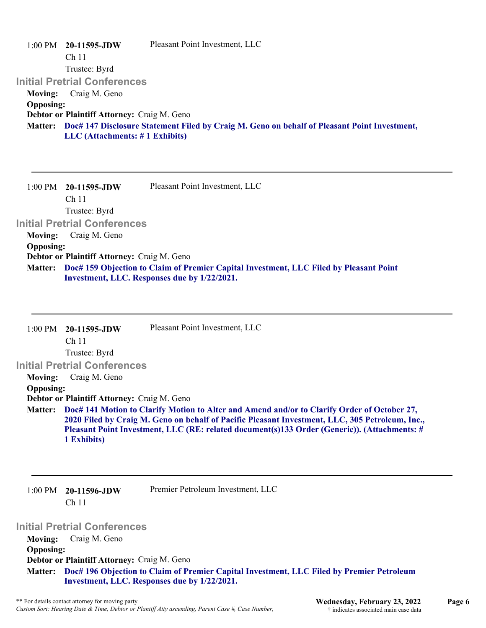|                  | $1:00 \text{ PM}$ 20-11595-JDW                     | Pleasant Point Investment, LLC                                                                       |
|------------------|----------------------------------------------------|------------------------------------------------------------------------------------------------------|
|                  | Ch <sub>11</sub>                                   |                                                                                                      |
|                  | Trustee: Byrd                                      |                                                                                                      |
|                  | <b>Initial Pretrial Conferences</b>                |                                                                                                      |
| <b>Moving:</b>   | Craig M. Geno                                      |                                                                                                      |
| <b>Opposing:</b> |                                                    |                                                                                                      |
|                  | <b>Debtor or Plaintiff Attorney: Craig M. Geno</b> |                                                                                                      |
|                  |                                                    | Matter: Doc# 147 Disclosure Statement Filed by Craig M. Geno on behalf of Pleasant Point Investment, |
|                  | $LLC$ (Attachments: $\# 1$ Exhibits)               |                                                                                                      |
|                  |                                                    |                                                                                                      |
|                  |                                                    |                                                                                                      |
|                  |                                                    |                                                                                                      |

1:00 PM **20-11595-JDW**  Ch 11 Trustee: Byrd **Initial Pretrial Conferences**  Pleasant Point Investment, LLC **Moving:** Craig M. Geno **Opposing: Debtor or Plaintiff Attorney:** Craig M. Geno **Doc# 159 Objection to Claim of Premier Capital Investment, LLC Filed by Pleasant Point Matter:**

**Investment, LLC. Responses due by 1/22/2021.**

| $1:00 \text{ PM}$ | 20-11595-JDW                                | Pleasant Point Investment, LLC                                                                                                                                                                                                                                                                 |
|-------------------|---------------------------------------------|------------------------------------------------------------------------------------------------------------------------------------------------------------------------------------------------------------------------------------------------------------------------------------------------|
|                   | Ch <sub>11</sub>                            |                                                                                                                                                                                                                                                                                                |
|                   | Trustee: Byrd                               |                                                                                                                                                                                                                                                                                                |
|                   | <b>Initial Pretrial Conferences</b>         |                                                                                                                                                                                                                                                                                                |
| <b>Moving:</b>    | Craig M. Geno                               |                                                                                                                                                                                                                                                                                                |
| <b>Opposing:</b>  |                                             |                                                                                                                                                                                                                                                                                                |
|                   | Debtor or Plaintiff Attorney: Craig M. Geno |                                                                                                                                                                                                                                                                                                |
| <b>Matter:</b>    | 1 Exhibits)                                 | Doc# 141 Motion to Clarify Motion to Alter and Amend and/or to Clarify Order of October 27,<br>2020 Filed by Craig M. Geno on behalf of Pacific Pleasant Investment, LLC, 305 Petroleum, Inc.,<br>Pleasant Point Investment, LLC (RE: related document(s)133 Order (Generic)). (Attachments: # |

1:00 PM **20-11596-JDW**  Ch 11

Premier Petroleum Investment, LLC

**Initial Pretrial Conferences** 

**Moving:** Craig M. Geno **Opposing: Debtor or Plaintiff Attorney:** Craig M. Geno **Doc# 196 Objection to Claim of Premier Capital Investment, LLC Filed by Premier Petroleum Matter: Investment, LLC. Responses due by 1/22/2021.**